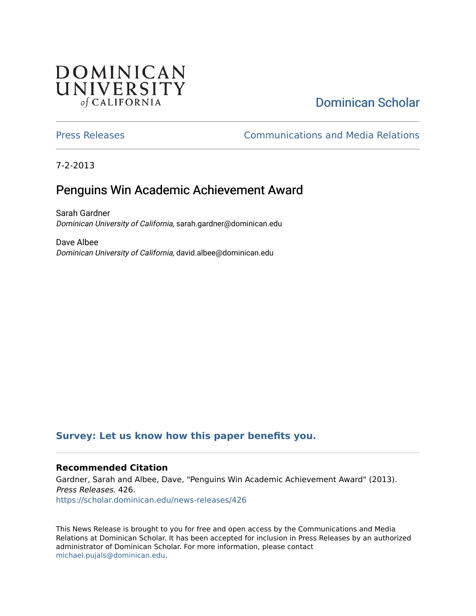## **DOMINICAN** UNIVERSITY of CALIFORNIA

# [Dominican Scholar](https://scholar.dominican.edu/)

[Press Releases](https://scholar.dominican.edu/news-releases) [Communications and Media Relations](https://scholar.dominican.edu/communications-media) 

7-2-2013

## Penguins Win Academic Achievement Award

Sarah Gardner Dominican University of California, sarah.gardner@dominican.edu

Dave Albee Dominican University of California, david.albee@dominican.edu

### **[Survey: Let us know how this paper benefits you.](https://dominican.libwizard.com/dominican-scholar-feedback)**

#### **Recommended Citation**

Gardner, Sarah and Albee, Dave, "Penguins Win Academic Achievement Award" (2013). Press Releases. 426. [https://scholar.dominican.edu/news-releases/426](https://scholar.dominican.edu/news-releases/426?utm_source=scholar.dominican.edu%2Fnews-releases%2F426&utm_medium=PDF&utm_campaign=PDFCoverPages)

This News Release is brought to you for free and open access by the Communications and Media Relations at Dominican Scholar. It has been accepted for inclusion in Press Releases by an authorized administrator of Dominican Scholar. For more information, please contact [michael.pujals@dominican.edu.](mailto:michael.pujals@dominican.edu)